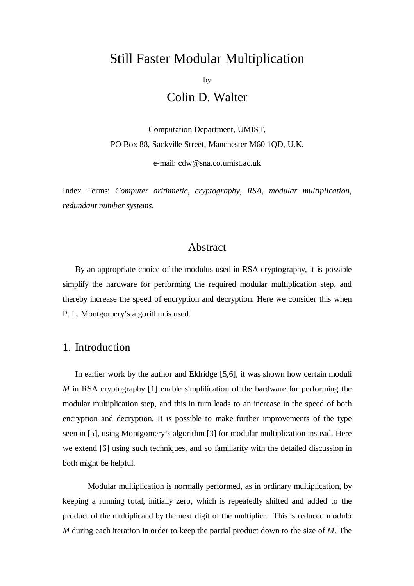# Still Faster Modular Multiplication

by

Colin D. Walter

Computation Department, UMIST, PO Box 88, Sackville Street, Manchester M60 1QD, U.K.

e-mail: cdw@sna.co.umist.ac.uk

Index Terms: *Computer arithmetic*, *cryptography*, *RSA*, *modular multiplication*, *redundant number systems*.

#### Abstract

By an appropriate choice of the modulus used in RSA cryptography, it is possible simplify the hardware for performing the required modular multiplication step, and thereby increase the speed of encryption and decryption. Here we consider this when P. L. Montgomery's algorithm is used.

#### 1. Introduction

In earlier work by the author and Eldridge [5,6], it was shown how certain moduli *M* in RSA cryptography [1] enable simplification of the hardware for performing the modular multiplication step, and this in turn leads to an increase in the speed of both encryption and decryption. It is possible to make further improvements of the type seen in [5], using Montgomery's algorithm [3] for modular multiplication instead. Here we extend [6] using such techniques, and so familiarity with the detailed discussion in both might be helpful.

Modular multiplication is normally performed, as in ordinary multiplication, by keeping a running total, initially zero, which is repeatedly shifted and added to the product of the multiplicand by the next digit of the multiplier. This is reduced modulo *M* during each iteration in order to keep the partial product down to the size of *M*. The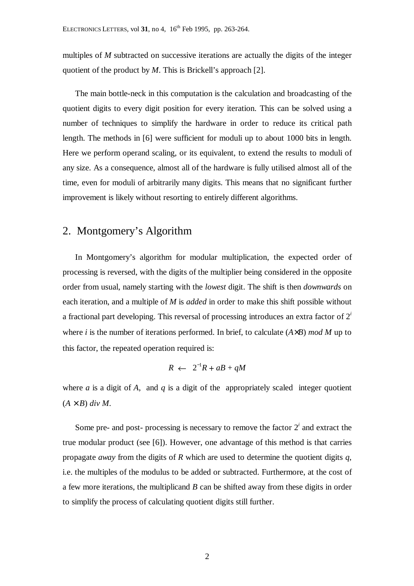multiples of *M* subtracted on successive iterations are actually the digits of the integer quotient of the product by *M*. This is Brickell's approach [2].

The main bottle-neck in this computation is the calculation and broadcasting of the quotient digits to every digit position for every iteration. This can be solved using a number of techniques to simplify the hardware in order to reduce its critical path length. The methods in [6] were sufficient for moduli up to about 1000 bits in length. Here we perform operand scaling, or its equivalent, to extend the results to moduli of any size. As a consequence, almost all of the hardware is fully utilised almost all of the time, even for moduli of arbitrarily many digits. This means that no significant further improvement is likely without resorting to entirely different algorithms.

# 2. Montgomery's Algorithm

In Montgomery's algorithm for modular multiplication, the expected order of processing is reversed, with the digits of the multiplier being considered in the opposite order from usual, namely starting with the *lowest* digit. The shift is then *downwards* on each iteration, and a multiple of *M* is *added* in order to make this shift possible without a fractional part developing. This reversal of processing introduces an extra factor of 2*<sup>i</sup>* where *i* is the number of iterations performed. In brief, to calculate (*A*×*B*) *mod M* up to this factor, the repeated operation required is:

$$
R \leftarrow 2^{-1}R + aB + qM
$$

where *a* is a digit of *A*, and *q* is a digit of the appropriately scaled integer quotient  $(A \times B)$  div M.

Some pre- and post- processing is necessary to remove the factor  $2<sup>i</sup>$  and extract the true modular product (see [6]). However, one advantage of this method is that carries propagate *away* from the digits of *R* which are used to determine the quotient digits *q*, i.e. the multiples of the modulus to be added or subtracted. Furthermore, at the cost of a few more iterations, the multiplicand *B* can be shifted away from these digits in order to simplify the process of calculating quotient digits still further.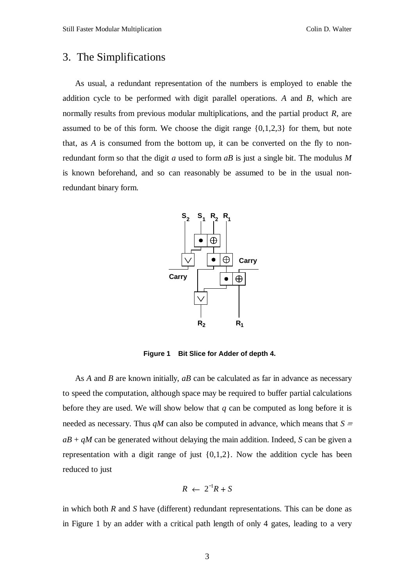# 3. The Simplifications

As usual, a redundant representation of the numbers is employed to enable the addition cycle to be performed with digit parallel operations. *A* and *B*, which are normally results from previous modular multiplications, and the partial product *R*, are assumed to be of this form. We choose the digit range  $\{0,1,2,3\}$  for them, but note that, as *A* is consumed from the bottom up, it can be converted on the fly to nonredundant form so that the digit *a* used to form *aB* is just a single bit. The modulus *M* is known beforehand, and so can reasonably be assumed to be in the usual nonredundant binary form.



**Figure 1 Bit Slice for Adder of depth 4.**

As *A* and *B* are known initially, *aB* can be calculated as far in advance as necessary to speed the computation, although space may be required to buffer partial calculations before they are used. We will show below that *q* can be computed as long before it is needed as necessary. Thus  $qM$  can also be computed in advance, which means that  $S =$  $aB + qM$  can be generated without delaying the main addition. Indeed, *S* can be given a representation with a digit range of just  $\{0,1,2\}$ . Now the addition cycle has been reduced to just

$$
R \leftarrow 2^{-1}R + S
$$

in which both *R* and *S* have (different) redundant representations. This can be done as in Figure 1 by an adder with a critical path length of only 4 gates, leading to a very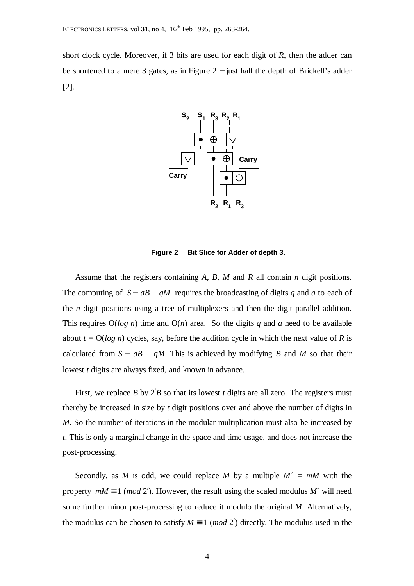short clock cycle. Moreover, if 3 bits are used for each digit of *R*, then the adder can be shortened to a mere 3 gates, as in Figure 2 − just half the depth of Brickell's adder [2].



**Figure 2 Bit Slice for Adder of depth 3.**

Assume that the registers containing *A*, *B*, *M* and *R* all contain *n* digit positions. The computing of  $S = aB - qM$  requires the broadcasting of digits *q* and *a* to each of the *n* digit positions using a tree of multiplexers and then the digit-parallel addition. This requires O(*log n*) time and O(*n*) area. So the digits *q* and *a* need to be available about  $t = O(\log n)$  cycles, say, before the addition cycle in which the next value of *R* is calculated from  $S = aB - qM$ . This is achieved by modifying *B* and *M* so that their lowest *t* digits are always fixed, and known in advance.

First, we replace  $B$  by  $2'B$  so that its lowest  $t$  digits are all zero. The registers must thereby be increased in size by *t* digit positions over and above the number of digits in *M*. So the number of iterations in the modular multiplication must also be increased by *t*. This is only a marginal change in the space and time usage, and does not increase the post-processing.

Secondly, as *M* is odd, we could replace *M* by a multiple  $M' = mM$  with the property  $mM \equiv 1 \pmod{2^t}$ . However, the result using the scaled modulus *M i* will need some further minor post-processing to reduce it modulo the original *M*. Alternatively, the modulus can be chosen to satisfy  $M \equiv 1 \pmod{2^t}$  directly. The modulus used in the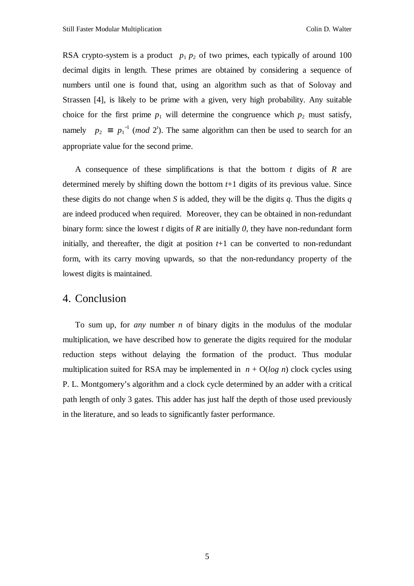RSA crypto-system is a product  $p_1 p_2$  of two primes, each typically of around 100 decimal digits in length. These primes are obtained by considering a sequence of numbers until one is found that, using an algorithm such as that of Solovay and Strassen [4], is likely to be prime with a given, very high probability. Any suitable choice for the first prime  $p_1$  will determine the congruence which  $p_2$  must satisfy, namely  $p_2 \equiv p_1^{-1} \pmod{2^t}$ . The same algorithm can then be used to search for an appropriate value for the second prime.

A consequence of these simplifications is that the bottom *t* digits of *R* are determined merely by shifting down the bottom *t*+1 digits of its previous value. Since these digits do not change when *S* is added, they will be the digits *q*. Thus the digits *q* are indeed produced when required. Moreover, they can be obtained in non-redundant binary form: since the lowest *t* digits of *R* are initially *0*, they have non-redundant form initially, and thereafter, the digit at position  $t+1$  can be converted to non-redundant form, with its carry moving upwards, so that the non-redundancy property of the lowest digits is maintained.

#### 4. Conclusion

To sum up, for *any* number *n* of binary digits in the modulus of the modular multiplication, we have described how to generate the digits required for the modular reduction steps without delaying the formation of the product. Thus modular multiplication suited for RSA may be implemented in  $n + O(\log n)$  clock cycles using P. L. Montgomery's algorithm and a clock cycle determined by an adder with a critical path length of only 3 gates. This adder has just half the depth of those used previously in the literature, and so leads to significantly faster performance.